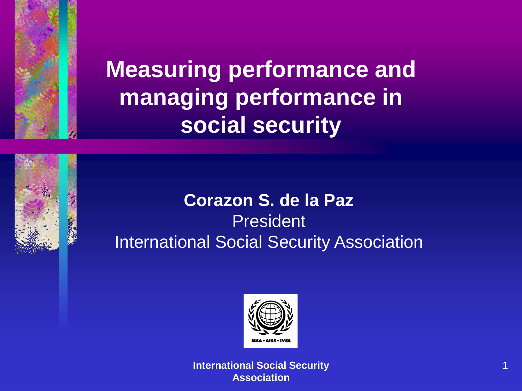

**Measuring performance and managing performance in social security**

### **Corazon S. de la Paz** President International Social Security Association

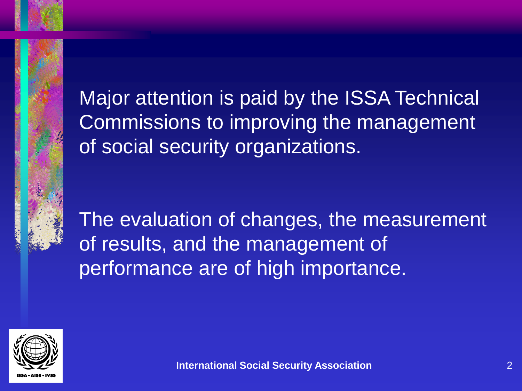Major attention is paid by the ISSA Technical Commissions to improving the management of social security organizations.

The evaluation of changes, the measurement of results, and the management of performance are of high importance.

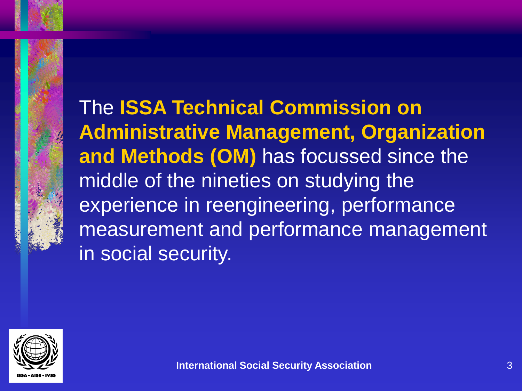The **ISSA Technical Commission on Administrative Management, Organization and Methods (OM)** has focussed since the middle of the nineties on studying the experience in reengineering, performance measurement and performance management in social security.

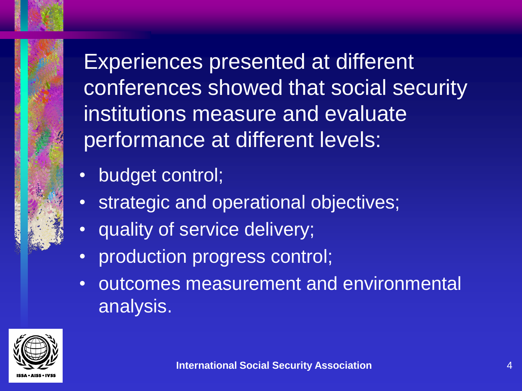Experiences presented at different conferences showed that social security institutions measure and evaluate performance at different levels:

- budget control;
- strategic and operational objectives;
- quality of service delivery;
- production progress control;
- outcomes measurement and environmental analysis.

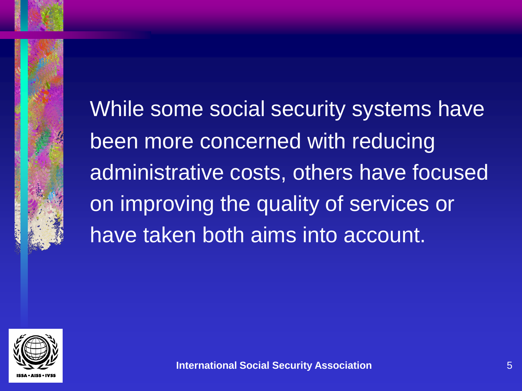While some social security systems have been more concerned with reducing administrative costs, others have focused on improving the quality of services or have taken both aims into account.

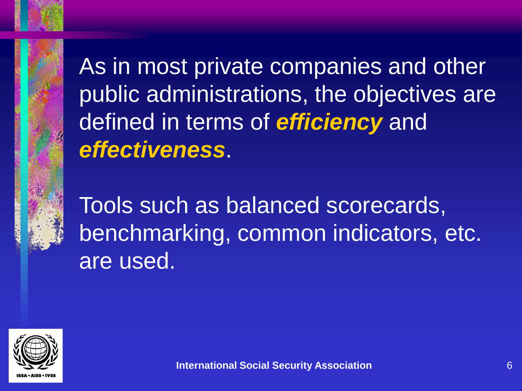As in most private companies and other public administrations, the objectives are defined in terms of *efficiency* and *effectiveness*.

Tools such as balanced scorecards, benchmarking, common indicators, etc. are used.

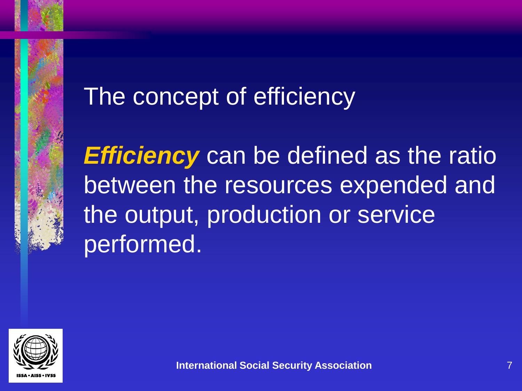



*Efficiency* can be defined as the ratio between the resources expended and the output, production or service performed.

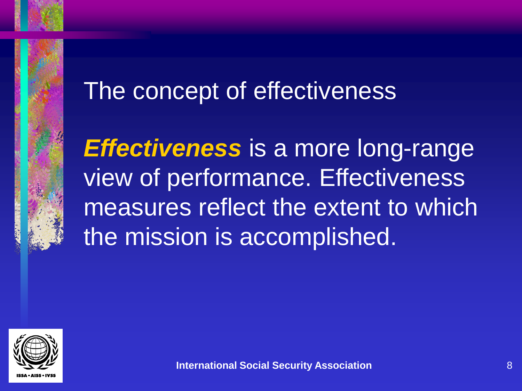

## The concept of effectiveness

*Effectiveness* is a more long-range view of performance. Effectiveness measures reflect the extent to which the mission is accomplished.

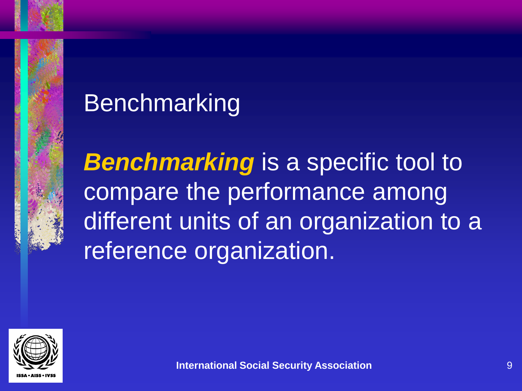# Benchmarking

**Benchmarking** is a specific tool to compare the performance among different units of an organization to a reference organization.

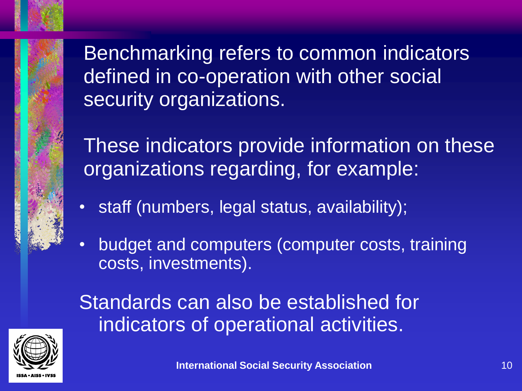Benchmarking refers to common indicators defined in co-operation with other social security organizations.

These indicators provide information on these organizations regarding, for example:

- staff (numbers, legal status, availability);
- budget and computers (computer costs, training costs, investments).

Standards can also be established for indicators of operational activities.

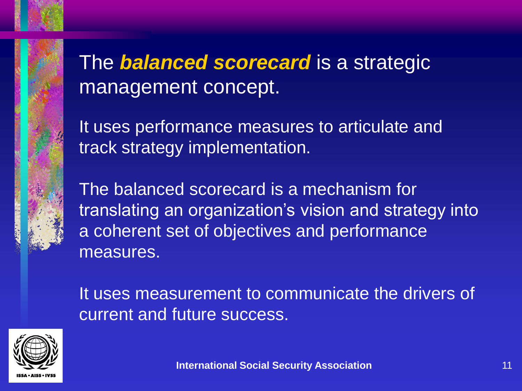### The *balanced scorecard* is a strategic management concept.

It uses performance measures to articulate and track strategy implementation.

The balanced scorecard is a mechanism for translating an organization's vision and strategy into a coherent set of objectives and performance measures.

It uses measurement to communicate the drivers of current and future success.

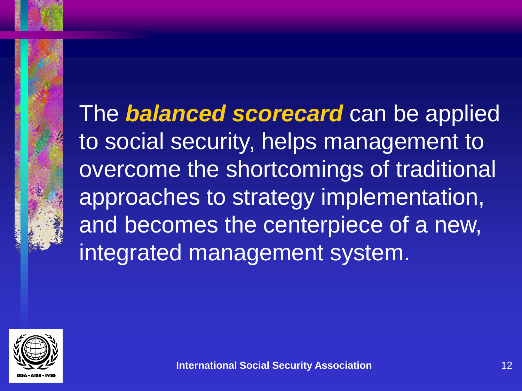The *balanced scorecard* can be applied to social security, helps management to overcome the shortcomings of traditional approaches to strategy implementation, and becomes the centerpiece of a new, integrated management system.

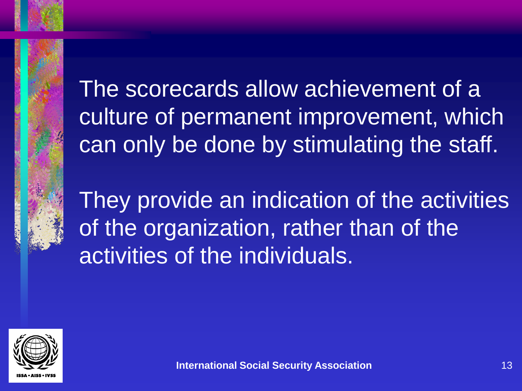

They provide an indication of the activities of the organization, rather than of the activities of the individuals.

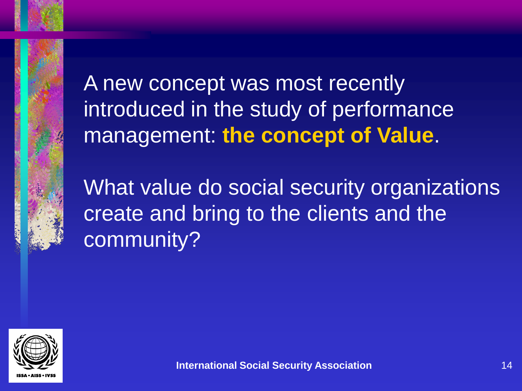

A new concept was most recently introduced in the study of performance management: **the concept of Value**.

What value do social security organizations create and bring to the clients and the community?

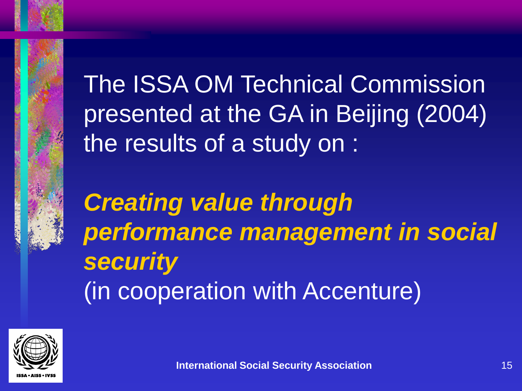

The ISSA OM Technical Commission presented at the GA in Beijing (2004) the results of a study on :

*Creating value through performance management in social security* (in cooperation with Accenture)

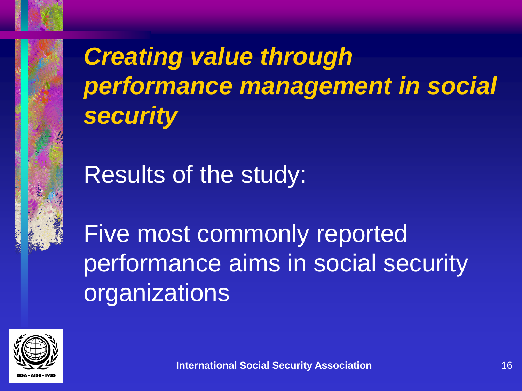*Creating value through performance management in social security*

Results of the study:

Five most commonly reported performance aims in social security organizations

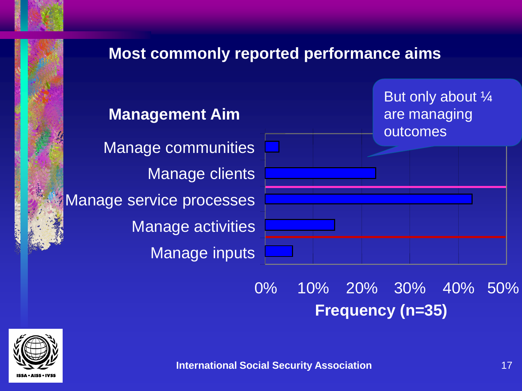

0% 10% 20% 30% 40% 50% **Frequency (n=35)**

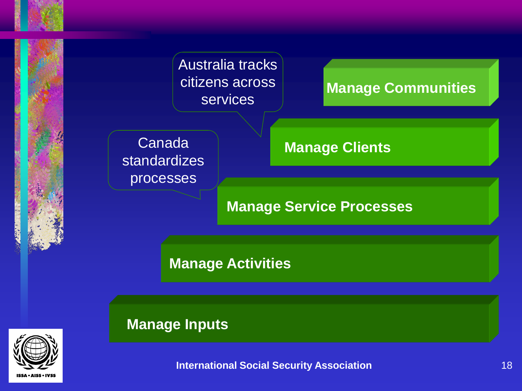

#### **Manage Communities**

Canada standardizes processes

**Manage Clients**

#### **Manage Service Processes**

**Manage Activities**

**Manage Inputs**